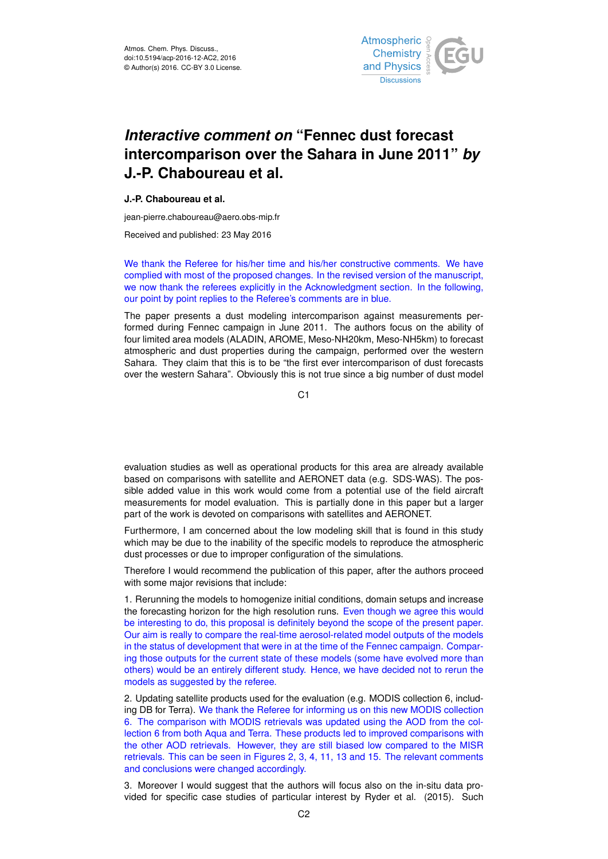

## *Interactive comment on* **"Fennec dust forecast intercomparison over the Sahara in June 2011"** *by* **J.-P. Chaboureau et al.**

## **J.-P. Chaboureau et al.**

jean-pierre.chaboureau@aero.obs-mip.fr

Received and published: 23 May 2016

We thank the Referee for his/her time and his/her constructive comments. We have complied with most of the proposed changes. In the revised version of the manuscript, we now thank the referees explicitly in the Acknowledgment section. In the following, our point by point replies to the Referee's comments are in blue.

The paper presents a dust modeling intercomparison against measurements performed during Fennec campaign in June 2011. The authors focus on the ability of four limited area models (ALADIN, AROME, Meso-NH20km, Meso-NH5km) to forecast atmospheric and dust properties during the campaign, performed over the western Sahara. They claim that this is to be "the first ever intercomparison of dust forecasts over the western Sahara". Obviously this is not true since a big number of dust model

C1

evaluation studies as well as operational products for this area are already available based on comparisons with satellite and AERONET data (e.g. SDS-WAS). The possible added value in this work would come from a potential use of the field aircraft measurements for model evaluation. This is partially done in this paper but a larger part of the work is devoted on comparisons with satellites and AERONET.

Furthermore, I am concerned about the low modeling skill that is found in this study which may be due to the inability of the specific models to reproduce the atmospheric dust processes or due to improper configuration of the simulations.

Therefore I would recommend the publication of this paper, after the authors proceed with some major revisions that include:

1. Rerunning the models to homogenize initial conditions, domain setups and increase the forecasting horizon for the high resolution runs. Even though we agree this would be interesting to do, this proposal is definitely beyond the scope of the present paper. Our aim is really to compare the real-time aerosol-related model outputs of the models in the status of development that were in at the time of the Fennec campaign. Comparing those outputs for the current state of these models (some have evolved more than others) would be an entirely different study. Hence, we have decided not to rerun the models as suggested by the referee.

2. Updating satellite products used for the evaluation (e.g. MODIS collection 6, including DB for Terra). We thank the Referee for informing us on this new MODIS collection 6. The comparison with MODIS retrievals was updated using the AOD from the collection 6 from both Aqua and Terra. These products led to improved comparisons with the other AOD retrievals. However, they are still biased low compared to the MISR retrievals. This can be seen in Figures 2, 3, 4, 11, 13 and 15. The relevant comments and conclusions were changed accordingly.

3. Moreover I would suggest that the authors will focus also on the in-situ data provided for specific case studies of particular interest by Ryder et al. (2015). Such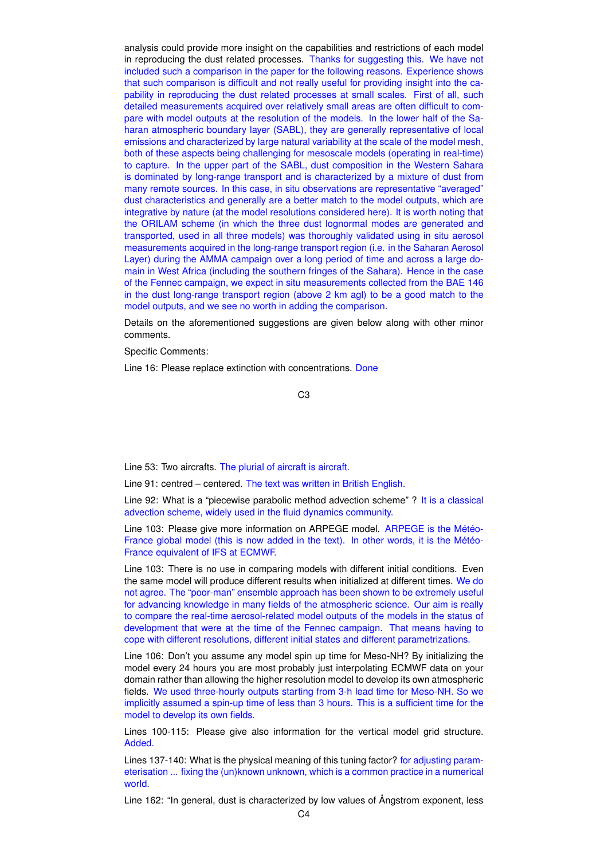analysis could provide more insight on the capabilities and restrictions of each model in reproducing the dust related processes. Thanks for suggesting this. We have not included such a comparison in the paper for the following reasons. Experience shows that such comparison is difficult and not really useful for providing insight into the capability in reproducing the dust related processes at small scales. First of all, such detailed measurements acquired over relatively small areas are often difficult to compare with model outputs at the resolution of the models. In the lower half of the Saharan atmospheric boundary layer (SABL), they are generally representative of local emissions and characterized by large natural variability at the scale of the model mesh, both of these aspects being challenging for mesoscale models (operating in real-time) to capture. In the upper part of the SABL, dust composition in the Western Sahara is dominated by long-range transport and is characterized by a mixture of dust from many remote sources. In this case, in situ observations are representative "averaged" dust characteristics and generally are a better match to the model outputs, which are integrative by nature (at the model resolutions considered here). It is worth noting that the ORILAM scheme (in which the three dust lognormal modes are generated and transported, used in all three models) was thoroughly validated using in situ aerosol measurements acquired in the long-range transport region (i.e. in the Saharan Aerosol Layer) during the AMMA campaign over a long period of time and across a large domain in West Africa (including the southern fringes of the Sahara). Hence in the case of the Fennec campaign, we expect in situ measurements collected from the BAE 146 in the dust long-range transport region (above 2 km agl) to be a good match to the model outputs, and we see no worth in adding the comparison.

Details on the aforementioned suggestions are given below along with other minor comments.

Specific Comments:

Line 16: Please replace extinction with concentrations. Done

C3

Line 53: Two aircrafts. The plurial of aircraft is aircraft.

Line 91: centred – centered. The text was written in British English.

Line 92: What is a "piecewise parabolic method advection scheme" ? It is a classical advection scheme, widely used in the fluid dynamics community.

Line 103: Please give more information on ARPEGE model. ARPEGE is the Météo-France global model (this is now added in the text). In other words, it is the Météo-France equivalent of IFS at ECMWF.

Line 103: There is no use in comparing models with different initial conditions. Even the same model will produce different results when initialized at different times. We do not agree. The "poor-man" ensemble approach has been shown to be extremely useful for advancing knowledge in many fields of the atmospheric science. Our aim is really to compare the real-time aerosol-related model outputs of the models in the status of development that were at the time of the Fennec campaign. That means having to cope with different resolutions, different initial states and different parametrizations.

Line 106: Don't you assume any model spin up time for Meso-NH? By initializing the model every 24 hours you are most probably just interpolating ECMWF data on your domain rather than allowing the higher resolution model to develop its own atmospheric fields. We used three-hourly outputs starting from 3-h lead time for Meso-NH. So we implicitly assumed a spin-up time of less than 3 hours. This is a sufficient time for the model to develop its own fields.

Lines 100-115: Please give also information for the vertical model grid structure. Added.

Lines 137-140: What is the physical meaning of this tuning factor? for adjusting parameterisation ... fixing the (un)known unknown, which is a common practice in a numerical world.

Line 162: "In general, dust is characterized by low values of Ångstrom exponent, less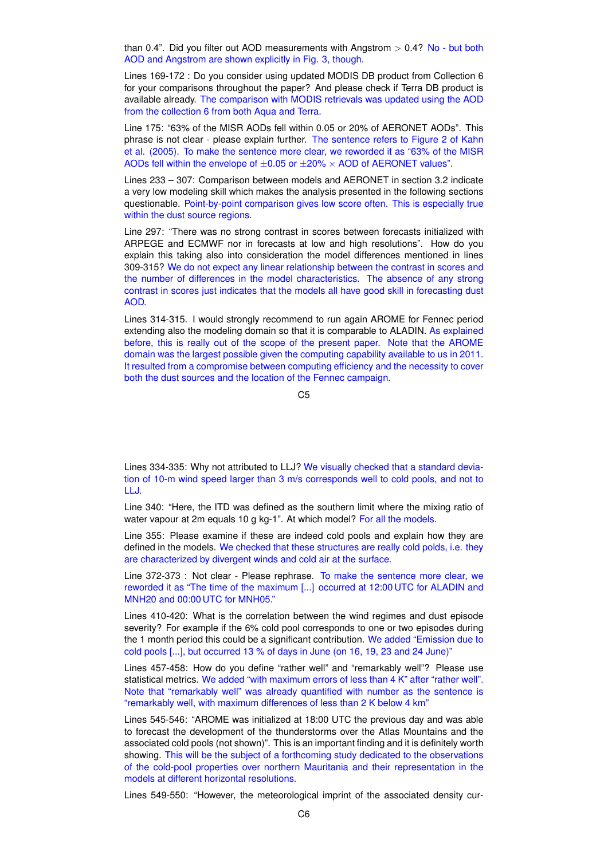than 0.4". Did you filter out AOD measurements with Angstrom  $> 0.4$ ? No - but both AOD and Angstrom are shown explicitly in Fig. 3, though.

Lines 169-172 : Do you consider using updated MODIS DB product from Collection 6 for your comparisons throughout the paper? And please check if Terra DB product is available already. The comparison with MODIS retrievals was updated using the AOD from the collection 6 from both Aqua and Terra.

Line 175: "63% of the MISR AODs fell within 0.05 or 20% of AERONET AODs". This phrase is not clear - please explain further. The sentence refers to Figure 2 of Kahn et al. (2005). To make the sentence more clear, we reworded it as "63% of the MISR AODs fell within the envelope of  $\pm 0.05$  or  $\pm 20\% \times$  AOD of AERONET values".

Lines 233 – 307: Comparison between models and AERONET in section 3.2 indicate a very low modeling skill which makes the analysis presented in the following sections questionable. Point-by-point comparison gives low score often. This is especially true within the dust source regions.

Line 297: "There was no strong contrast in scores between forecasts initialized with ARPEGE and ECMWF nor in forecasts at low and high resolutions". How do you explain this taking also into consideration the model differences mentioned in lines 309-315? We do not expect any linear relationship between the contrast in scores and the number of differences in the model characteristics. The absence of any strong contrast in scores just indicates that the models all have good skill in forecasting dust AOD.

Lines 314-315. I would strongly recommend to run again AROME for Fennec period extending also the modeling domain so that it is comparable to ALADIN. As explained before, this is really out of the scope of the present paper. Note that the AROME domain was the largest possible given the computing capability available to us in 2011. It resulted from a compromise between computing efficiency and the necessity to cover both the dust sources and the location of the Fennec campaign.

C5

Lines 334-335: Why not attributed to LLJ? We visually checked that a standard deviation of 10-m wind speed larger than 3 m/s corresponds well to cold pools, and not to LLJ.

Line 340: "Here, the ITD was defined as the southern limit where the mixing ratio of water vapour at 2m equals 10 g kg-1". At which model? For all the models.

Line 355: Please examine if these are indeed cold pools and explain how they are defined in the models. We checked that these structures are really cold polds, i.e. they are characterized by divergent winds and cold air at the surface.

Line 372-373 : Not clear - Please rephrase. To make the sentence more clear, we reworded it as "The time of the maximum [...] occurred at 12:00 UTC for ALADIN and MNH20 and 00:00 UTC for MNH05."

Lines 410-420: What is the correlation between the wind regimes and dust episode severity? For example if the 6% cold pool corresponds to one or two episodes during the 1 month period this could be a significant contribution. We added "Emission due to cold pools [...], but occurred 13 % of days in June (on 16, 19, 23 and 24 June)"

Lines 457-458: How do you define "rather well" and "remarkably well"? Please use statistical metrics. We added "with maximum errors of less than 4 K" after "rather well". Note that "remarkably well" was already quantified with number as the sentence is "remarkably well, with maximum differences of less than 2 K below 4 km"

Lines 545-546: "AROME was initialized at 18:00 UTC the previous day and was able to forecast the development of the thunderstorms over the Atlas Mountains and the associated cold pools (not shown)". This is an important finding and it is definitely worth showing. This will be the subject of a forthcoming study dedicated to the observations of the cold-pool properties over northern Mauritania and their representation in the models at different horizontal resolutions.

Lines 549-550: "However, the meteorological imprint of the associated density cur-